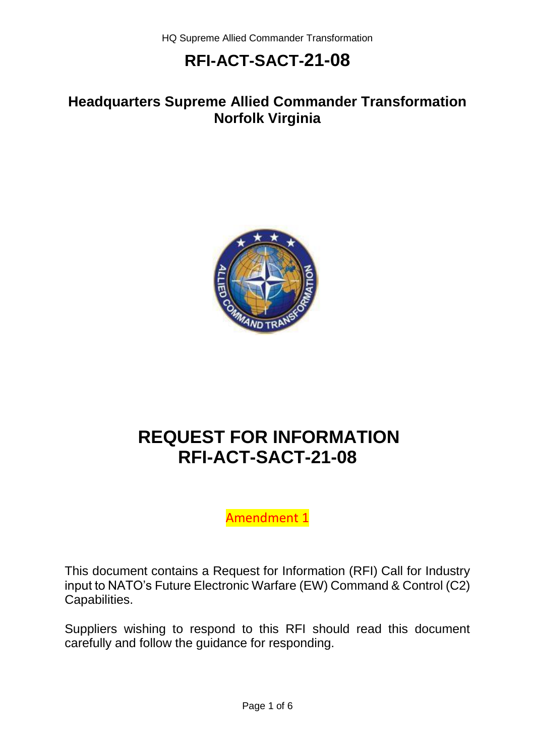### **Headquarters Supreme Allied Commander Transformation Norfolk Virginia**



# **REQUEST FOR INFORMATION RFI-ACT-SACT-21-08**

Amendment 1

This document contains a Request for Information (RFI) Call for Industry input to NATO's Future Electronic Warfare (EW) Command & Control (C2) Capabilities.

Suppliers wishing to respond to this RFI should read this document carefully and follow the guidance for responding.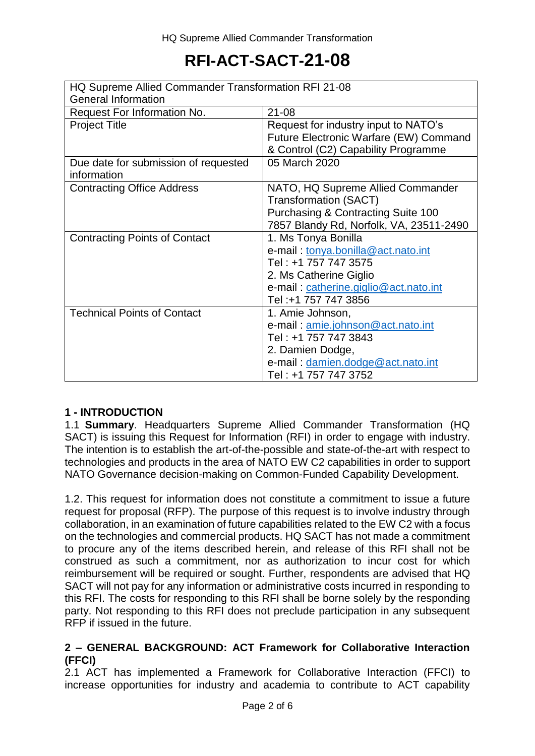| HQ Supreme Allied Commander Transformation RFI 21-08 |                                               |
|------------------------------------------------------|-----------------------------------------------|
| <b>General Information</b>                           |                                               |
| Request For Information No.                          | $21 - 08$                                     |
| <b>Project Title</b>                                 | Request for industry input to NATO's          |
|                                                      | Future Electronic Warfare (EW) Command        |
|                                                      | & Control (C2) Capability Programme           |
| Due date for submission of requested                 | 05 March 2020                                 |
| information                                          |                                               |
| <b>Contracting Office Address</b>                    | NATO, HQ Supreme Allied Commander             |
|                                                      | <b>Transformation (SACT)</b>                  |
|                                                      | <b>Purchasing &amp; Contracting Suite 100</b> |
|                                                      | 7857 Blandy Rd, Norfolk, VA, 23511-2490       |
| <b>Contracting Points of Contact</b>                 | 1. Ms Tonya Bonilla                           |
|                                                      | e-mail: tonya.bonilla@act.nato.int            |
|                                                      | Tel: +1 757 747 3575                          |
|                                                      | 2. Ms Catherine Giglio                        |
|                                                      | e-mail: catherine.giglio@act.nato.int         |
|                                                      | Tel:+1 757 747 3856                           |
| <b>Technical Points of Contact</b>                   | 1. Amie Johnson,                              |
|                                                      | e-mail: amie.johnson@act.nato.int             |
|                                                      | Tel: +1 757 747 3843                          |
|                                                      | 2. Damien Dodge,                              |
|                                                      | e-mail: damien.dodge@act.nato.int             |
|                                                      | Tel: +1 757 747 3752                          |

#### **1 - INTRODUCTION**

1.1 **Summary**. Headquarters Supreme Allied Commander Transformation (HQ SACT) is issuing this Request for Information (RFI) in order to engage with industry. The intention is to establish the art-of-the-possible and state-of-the-art with respect to technologies and products in the area of NATO EW C2 capabilities in order to support NATO Governance decision-making on Common-Funded Capability Development.

1.2. This request for information does not constitute a commitment to issue a future request for proposal (RFP). The purpose of this request is to involve industry through collaboration, in an examination of future capabilities related to the EW C2 with a focus on the technologies and commercial products. HQ SACT has not made a commitment to procure any of the items described herein, and release of this RFI shall not be construed as such a commitment, nor as authorization to incur cost for which reimbursement will be required or sought. Further, respondents are advised that HQ SACT will not pay for any information or administrative costs incurred in responding to this RFI. The costs for responding to this RFI shall be borne solely by the responding party. Not responding to this RFI does not preclude participation in any subsequent RFP if issued in the future.

#### **2 – GENERAL BACKGROUND: ACT Framework for Collaborative Interaction (FFCI)**

2.1 ACT has implemented a Framework for Collaborative Interaction (FFCI) to increase opportunities for industry and academia to contribute to ACT capability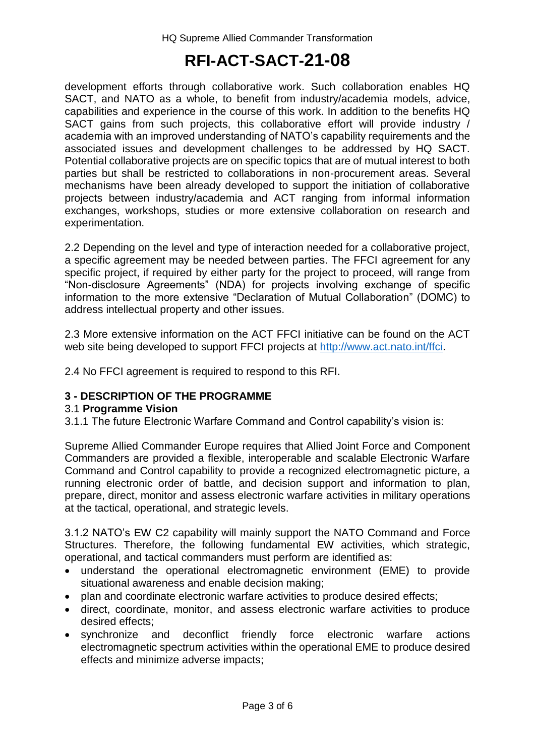development efforts through collaborative work. Such collaboration enables HQ SACT, and NATO as a whole, to benefit from industry/academia models, advice, capabilities and experience in the course of this work. In addition to the benefits HQ SACT gains from such projects, this collaborative effort will provide industry / academia with an improved understanding of NATO's capability requirements and the associated issues and development challenges to be addressed by HQ SACT. Potential collaborative projects are on specific topics that are of mutual interest to both parties but shall be restricted to collaborations in non-procurement areas. Several mechanisms have been already developed to support the initiation of collaborative projects between industry/academia and ACT ranging from informal information exchanges, workshops, studies or more extensive collaboration on research and experimentation.

2.2 Depending on the level and type of interaction needed for a collaborative project, a specific agreement may be needed between parties. The FFCI agreement for any specific project, if required by either party for the project to proceed, will range from "Non-disclosure Agreements" (NDA) for projects involving exchange of specific information to the more extensive "Declaration of Mutual Collaboration" (DOMC) to address intellectual property and other issues.

2.3 More extensive information on the ACT FFCI initiative can be found on the ACT web site being developed to support FFCI projects at [http://www.act.nato.int/ffci.](http://www.act.nato.int/ffci)

2.4 No FFCI agreement is required to respond to this RFI.

#### **3 - DESCRIPTION OF THE PROGRAMME**

#### 3.1 **Programme Vision**

3.1.1 The future Electronic Warfare Command and Control capability's vision is:

Supreme Allied Commander Europe requires that Allied Joint Force and Component Commanders are provided a flexible, interoperable and scalable Electronic Warfare Command and Control capability to provide a recognized electromagnetic picture, a running electronic order of battle, and decision support and information to plan, prepare, direct, monitor and assess electronic warfare activities in military operations at the tactical, operational, and strategic levels.

3.1.2 NATO's EW C2 capability will mainly support the NATO Command and Force Structures. Therefore, the following fundamental EW activities, which strategic, operational, and tactical commanders must perform are identified as:

- understand the operational electromagnetic environment (EME) to provide situational awareness and enable decision making;
- plan and coordinate electronic warfare activities to produce desired effects;
- direct, coordinate, monitor, and assess electronic warfare activities to produce desired effects;
- synchronize and deconflict friendly force electronic warfare actions electromagnetic spectrum activities within the operational EME to produce desired effects and minimize adverse impacts;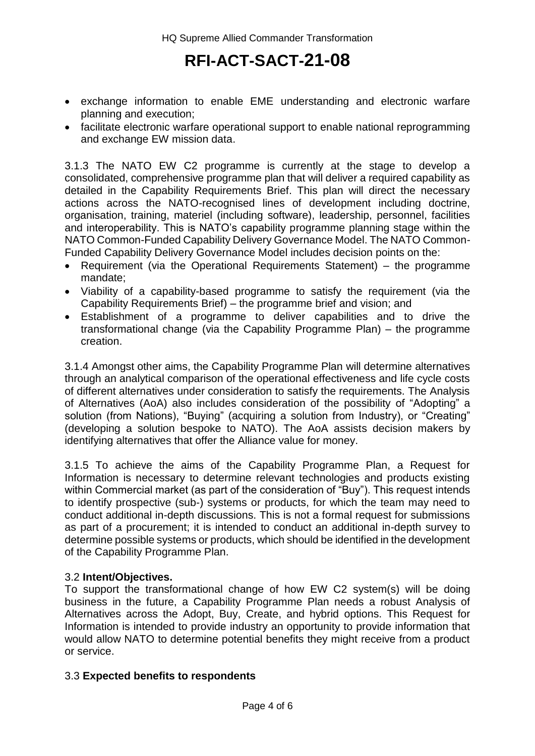- exchange information to enable EME understanding and electronic warfare planning and execution;
- facilitate electronic warfare operational support to enable national reprogramming and exchange EW mission data.

3.1.3 The NATO EW C2 programme is currently at the stage to develop a consolidated, comprehensive programme plan that will deliver a required capability as detailed in the Capability Requirements Brief. This plan will direct the necessary actions across the NATO-recognised lines of development including doctrine, organisation, training, materiel (including software), leadership, personnel, facilities and interoperability. This is NATO's capability programme planning stage within the NATO Common-Funded Capability Delivery Governance Model. The NATO Common-Funded Capability Delivery Governance Model includes decision points on the:

- Requirement (via the Operational Requirements Statement) the programme mandate;
- Viability of a capability-based programme to satisfy the requirement (via the Capability Requirements Brief) – the programme brief and vision; and
- Establishment of a programme to deliver capabilities and to drive the transformational change (via the Capability Programme Plan) – the programme creation.

3.1.4 Amongst other aims, the Capability Programme Plan will determine alternatives through an analytical comparison of the operational effectiveness and life cycle costs of different alternatives under consideration to satisfy the requirements. The Analysis of Alternatives (AoA) also includes consideration of the possibility of "Adopting" a solution (from Nations), "Buying" (acquiring a solution from Industry), or "Creating" (developing a solution bespoke to NATO). The AoA assists decision makers by identifying alternatives that offer the Alliance value for money.

3.1.5 To achieve the aims of the Capability Programme Plan, a Request for Information is necessary to determine relevant technologies and products existing within Commercial market (as part of the consideration of "Buy"). This request intends to identify prospective (sub-) systems or products, for which the team may need to conduct additional in-depth discussions. This is not a formal request for submissions as part of a procurement; it is intended to conduct an additional in-depth survey to determine possible systems or products, which should be identified in the development of the Capability Programme Plan.

#### 3.2 **Intent/Objectives.**

To support the transformational change of how EW C2 system(s) will be doing business in the future, a Capability Programme Plan needs a robust Analysis of Alternatives across the Adopt, Buy, Create, and hybrid options. This Request for Information is intended to provide industry an opportunity to provide information that would allow NATO to determine potential benefits they might receive from a product or service.

#### 3.3 **Expected benefits to respondents**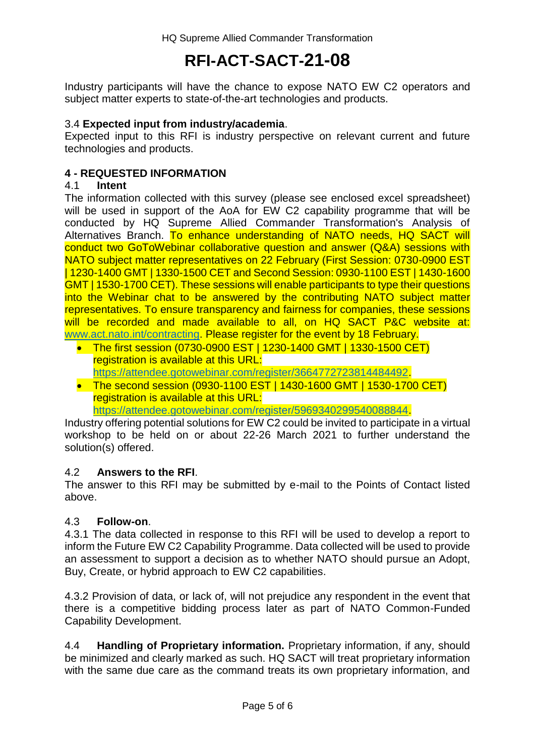Industry participants will have the chance to expose NATO EW C2 operators and subject matter experts to state-of-the-art technologies and products.

#### 3.4 **Expected input from industry/academia**.

Expected input to this RFI is industry perspective on relevant current and future technologies and products.

#### **4 - REQUESTED INFORMATION**

#### 4.1 **Intent**

The information collected with this survey (please see enclosed excel spreadsheet) will be used in support of the AoA for EW C2 capability programme that will be conducted by HQ Supreme Allied Commander Transformation's Analysis of Alternatives Branch. To enhance understanding of NATO needs, HQ SACT will conduct two GoToWebinar collaborative question and answer (Q&A) sessions with NATO subject matter representatives on 22 February (First Session: 0730-0900 EST | 1230-1400 GMT | 1330-1500 CET and Second Session: 0930-1100 EST | 1430-1600 GMT | 1530-1700 CET). These sessions will enable participants to type their questions into the Webinar chat to be answered by the contributing NATO subject matter representatives. To ensure transparency and fairness for companies, these sessions will be recorded and made available to all, on HQ SACT P&C website at: [www.act.nato.int/contracting.](http://www.act.nato.int/contracting) Please register for the event by 18 February.

- The first session (0730-0900 EST | 1230-1400 GMT | 1330-1500 CET) registration is available at this URL: [https://attendee.gotowebinar.com/register/3664772723814484492.](https://attendee.gotowebinar.com/register/3664772723814484492)
- The second session (0930-1100 EST | 1430-1600 GMT | 1530-1700 CET) registration is available at this URL:

[https://attendee.gotowebinar.com/register/5969340299540088844.](https://attendee.gotowebinar.com/register/5969340299540088844)

Industry offering potential solutions for EW C2 could be invited to participate in a virtual workshop to be held on or about 22-26 March 2021 to further understand the solution(s) offered.

#### 4.2 **Answers to the RFI**.

The answer to this RFI may be submitted by e-mail to the Points of Contact listed above.

#### 4.3 **Follow-on**.

4.3.1 The data collected in response to this RFI will be used to develop a report to inform the Future EW C2 Capability Programme. Data collected will be used to provide an assessment to support a decision as to whether NATO should pursue an Adopt, Buy, Create, or hybrid approach to EW C2 capabilities.

4.3.2 Provision of data, or lack of, will not prejudice any respondent in the event that there is a competitive bidding process later as part of NATO Common-Funded Capability Development.

4.4 **Handling of Proprietary information.** Proprietary information, if any, should be minimized and clearly marked as such. HQ SACT will treat proprietary information with the same due care as the command treats its own proprietary information, and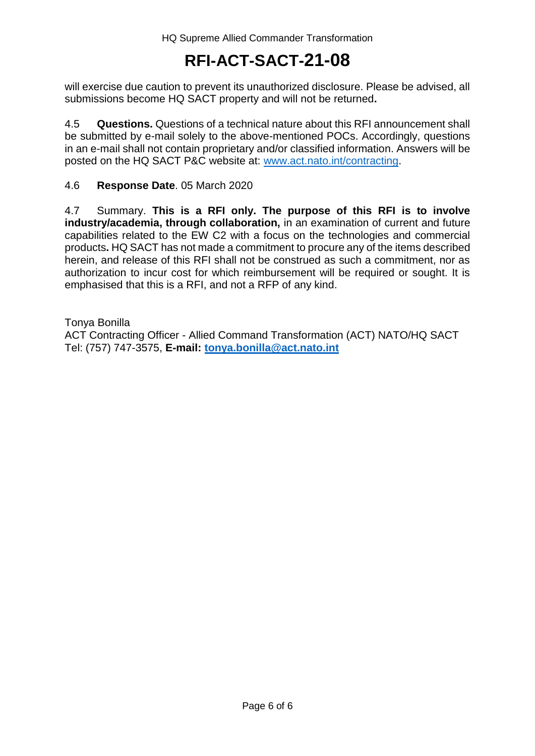will exercise due caution to prevent its unauthorized disclosure. Please be advised, all submissions become HQ SACT property and will not be returned**.** 

4.5 **Questions.** Questions of a technical nature about this RFI announcement shall be submitted by e-mail solely to the above-mentioned POCs. Accordingly, questions in an e-mail shall not contain proprietary and/or classified information. Answers will be posted on the HQ SACT P&C website at: [www.act.nato.int/contracting.](http://www.act.nato.int/contracting)

4.6 **Response Date**. 05 March 2020

4.7 Summary. **This is a RFI only. The purpose of this RFI is to involve industry/academia, through collaboration,** in an examination of current and future capabilities related to the EW C2 with a focus on the technologies and commercial products**.** HQ SACT has not made a commitment to procure any of the items described herein, and release of this RFI shall not be construed as such a commitment, nor as authorization to incur cost for which reimbursement will be required or sought. It is emphasised that this is a RFI, and not a RFP of any kind.

Tonya Bonilla ACT Contracting Officer - Allied Command Transformation (ACT) NATO/HQ SACT Tel: (757) 747-3575, **E-mail: [tonya.bonilla@act.nato.int](mailto:tonya.bonilla@act.nato.int)**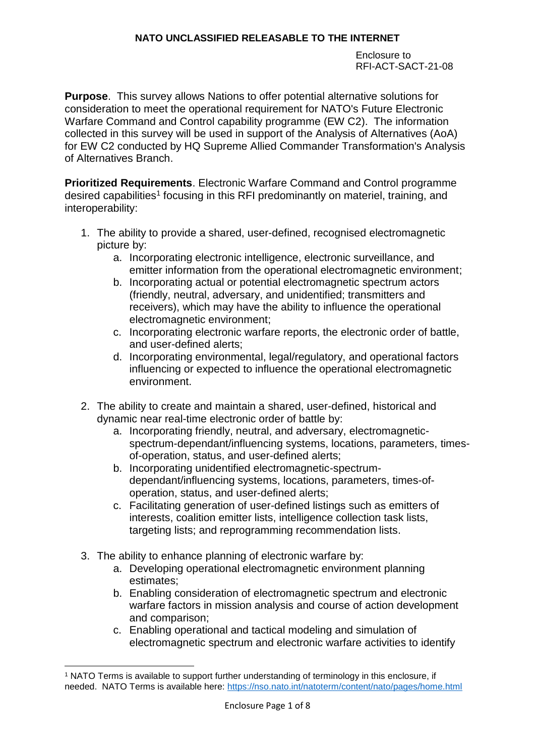Enclosure to RFI-ACT-SACT-21-08

**Purpose**. This survey allows Nations to offer potential alternative solutions for consideration to meet the operational requirement for NATO's Future Electronic Warfare Command and Control capability programme (EW C2). The information collected in this survey will be used in support of the Analysis of Alternatives (AoA) for EW C2 conducted by HQ Supreme Allied Commander Transformation's Analysis of Alternatives Branch.

**Prioritized Requirements**. Electronic Warfare Command and Control programme desired capabilities<sup>1</sup> focusing in this RFI predominantly on materiel, training, and interoperability:

- 1. The ability to provide a shared, user-defined, recognised electromagnetic picture by:
	- a. Incorporating electronic intelligence, electronic surveillance, and emitter information from the operational electromagnetic environment;
	- b. Incorporating actual or potential electromagnetic spectrum actors (friendly, neutral, adversary, and unidentified; transmitters and receivers), which may have the ability to influence the operational electromagnetic environment;
	- c. Incorporating electronic warfare reports, the electronic order of battle, and user-defined alerts;
	- d. Incorporating environmental, legal/regulatory, and operational factors influencing or expected to influence the operational electromagnetic environment.
- 2. The ability to create and maintain a shared, user-defined, historical and dynamic near real-time electronic order of battle by:
	- a. Incorporating friendly, neutral, and adversary, electromagneticspectrum-dependant/influencing systems, locations, parameters, timesof-operation, status, and user-defined alerts;
	- b. Incorporating unidentified electromagnetic-spectrumdependant/influencing systems, locations, parameters, times-ofoperation, status, and user-defined alerts;
	- c. Facilitating generation of user-defined listings such as emitters of interests, coalition emitter lists, intelligence collection task lists, targeting lists; and reprogramming recommendation lists.
- 3. The ability to enhance planning of electronic warfare by:

1

- a. Developing operational electromagnetic environment planning estimates;
- b. Enabling consideration of electromagnetic spectrum and electronic warfare factors in mission analysis and course of action development and comparison;
- c. Enabling operational and tactical modeling and simulation of electromagnetic spectrum and electronic warfare activities to identify

<sup>1</sup> NATO Terms is available to support further understanding of terminology in this enclosure, if needed. NATO Terms is available here:<https://nso.nato.int/natoterm/content/nato/pages/home.html>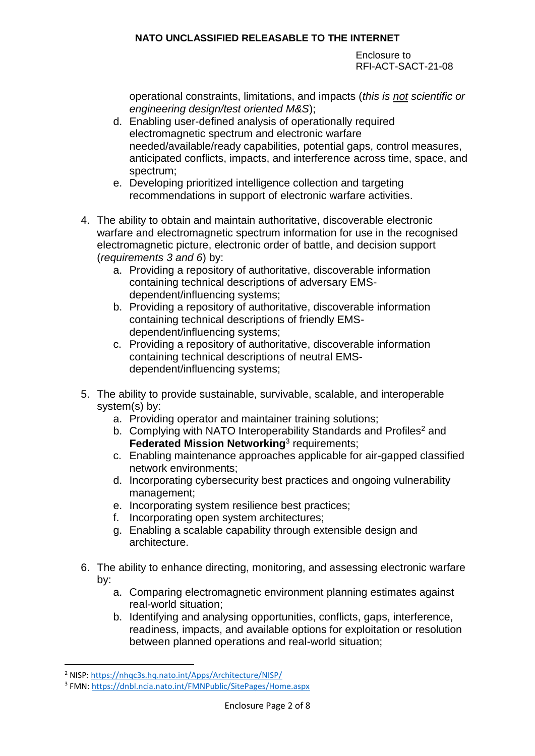Enclosure to RFI-ACT-SACT-21-08

operational constraints, limitations, and impacts (*this is not scientific or engineering design/test oriented M&S*);

- d. Enabling user-defined analysis of operationally required electromagnetic spectrum and electronic warfare needed/available/ready capabilities, potential gaps, control measures, anticipated conflicts, impacts, and interference across time, space, and spectrum;
- e. Developing prioritized intelligence collection and targeting recommendations in support of electronic warfare activities.
- 4. The ability to obtain and maintain authoritative, discoverable electronic warfare and electromagnetic spectrum information for use in the recognised electromagnetic picture, electronic order of battle, and decision support (*requirements 3 and 6*) by:
	- a. Providing a repository of authoritative, discoverable information containing technical descriptions of adversary EMSdependent/influencing systems;
	- b. Providing a repository of authoritative, discoverable information containing technical descriptions of friendly EMSdependent/influencing systems;
	- c. Providing a repository of authoritative, discoverable information containing technical descriptions of neutral EMSdependent/influencing systems;
- 5. The ability to provide sustainable, survivable, scalable, and interoperable system(s) by:
	- a. Providing operator and maintainer training solutions;
	- b. Complying with NATO Interoperability Standards and Profiles<sup>2</sup> and **Federated Mission Networking<sup>3</sup> requirements;**
	- c. Enabling maintenance approaches applicable for air-gapped classified network environments;
	- d. Incorporating cybersecurity best practices and ongoing vulnerability management;
	- e. Incorporating system resilience best practices;
	- f. Incorporating open system architectures;
	- g. Enabling a scalable capability through extensible design and architecture.
- 6. The ability to enhance directing, monitoring, and assessing electronic warfare by:
	- a. Comparing electromagnetic environment planning estimates against real-world situation;
	- b. Identifying and analysing opportunities, conflicts, gaps, interference, readiness, impacts, and available options for exploitation or resolution between planned operations and real-world situation;

1

<sup>2</sup> NISP:<https://nhqc3s.hq.nato.int/Apps/Architecture/NISP/>

<sup>&</sup>lt;sup>3</sup> FMN:<https://dnbl.ncia.nato.int/FMNPublic/SitePages/Home.aspx>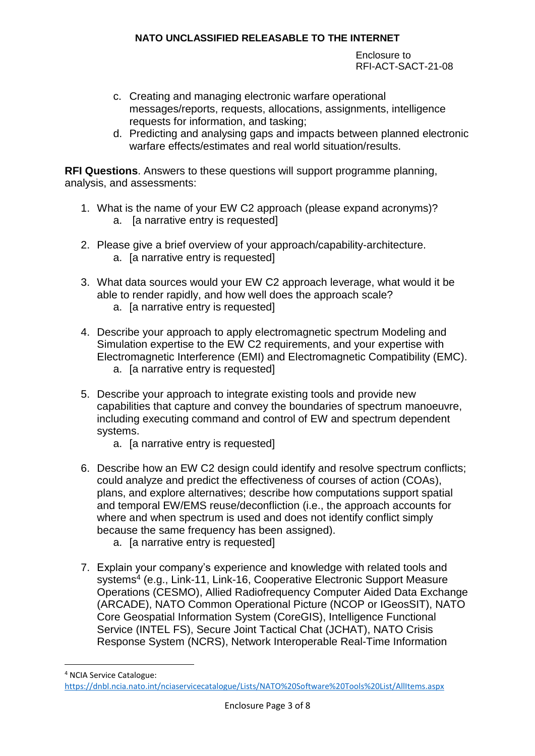Enclosure to RFI-ACT-SACT-21-08

- c. Creating and managing electronic warfare operational messages/reports, requests, allocations, assignments, intelligence requests for information, and tasking;
- d. Predicting and analysing gaps and impacts between planned electronic warfare effects/estimates and real world situation/results.

**RFI Questions**. Answers to these questions will support programme planning, analysis, and assessments:

- 1. What is the name of your EW C2 approach (please expand acronyms)? a. [a narrative entry is requested]
- 2. Please give a brief overview of your approach/capability-architecture. a. [a narrative entry is requested]
- 3. What data sources would your EW C2 approach leverage, what would it be able to render rapidly, and how well does the approach scale?
	- a. [a narrative entry is requested]
- 4. Describe your approach to apply electromagnetic spectrum Modeling and Simulation expertise to the EW C2 requirements, and your expertise with Electromagnetic Interference (EMI) and Electromagnetic Compatibility (EMC). a. [a narrative entry is requested]
- 5. Describe your approach to integrate existing tools and provide new capabilities that capture and convey the boundaries of spectrum manoeuvre, including executing command and control of EW and spectrum dependent systems.
	- a. [a narrative entry is requested]
- 6. Describe how an EW C2 design could identify and resolve spectrum conflicts; could analyze and predict the effectiveness of courses of action (COAs), plans, and explore alternatives; describe how computations support spatial and temporal EW/EMS reuse/deconfliction (i.e., the approach accounts for where and when spectrum is used and does not identify conflict simply because the same frequency has been assigned).
	- a. [a narrative entry is requested]

1

7. Explain your company's experience and knowledge with related tools and systems<sup>4</sup> (e.g., Link-11, Link-16, Cooperative Electronic Support Measure Operations (CESMO), Allied Radiofrequency Computer Aided Data Exchange (ARCADE), NATO Common Operational Picture (NCOP or IGeosSIT), NATO Core Geospatial Information System (CoreGIS), Intelligence Functional Service (INTEL FS), Secure Joint Tactical Chat (JCHAT), NATO Crisis Response System (NCRS), Network Interoperable Real-Time Information

<sup>4</sup> NCIA Service Catalogue: <https://dnbl.ncia.nato.int/nciaservicecatalogue/Lists/NATO%20Software%20Tools%20List/AllItems.aspx>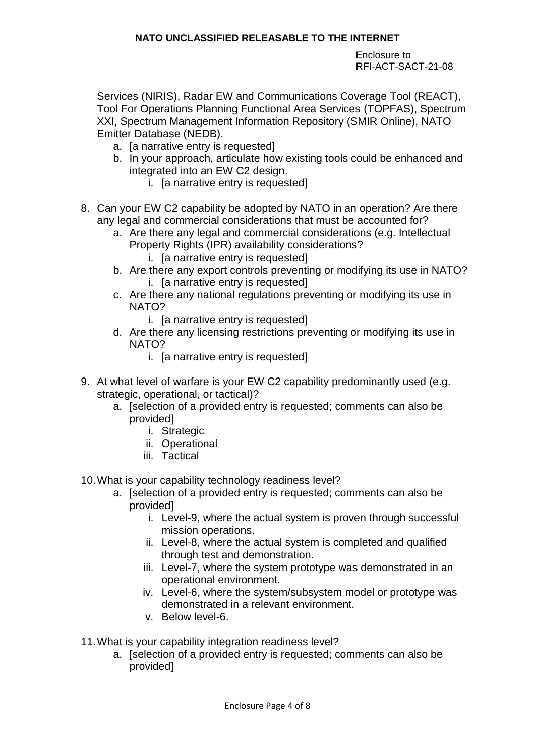Enclosure to RFI-ACT-SACT-21-08

Services (NIRIS), Radar EW and Communications Coverage Tool (REACT), Tool For Operations Planning Functional Area Services (TOPFAS), Spectrum XXI, Spectrum Management Information Repository (SMIR Online), NATO Emitter Database (NEDB).

- a. [a narrative entry is requested]
- b. In your approach, articulate how existing tools could be enhanced and integrated into an EW C2 design.
	- i. [a narrative entry is requested]
- 8. Can your EW C2 capability be adopted by NATO in an operation? Are there any legal and commercial considerations that must be accounted for?
	- a. Are there any legal and commercial considerations (e.g. Intellectual Property Rights (IPR) availability considerations?
		- i. [a narrative entry is requested]
	- b. Are there any export controls preventing or modifying its use in NATO? i. [a narrative entry is requested]
	- c. Are there any national regulations preventing or modifying its use in NATO?
		- i. [a narrative entry is requested]
	- d. Are there any licensing restrictions preventing or modifying its use in NATO?
		- i. [a narrative entry is requested]
- 9. At what level of warfare is your EW C2 capability predominantly used (e.g. strategic, operational, or tactical)?
	- a. [selection of a provided entry is requested; comments can also be provided]
		- i. Strategic
		- ii. Operational
		- iii. Tactical

10.What is your capability technology readiness level?

- a. [selection of a provided entry is requested; comments can also be provided]
	- i. Level-9, where the actual system is proven through successful mission operations.
	- ii. Level-8, where the actual system is completed and qualified through test and demonstration.
	- iii. Level-7, where the system prototype was demonstrated in an operational environment.
	- iv. Level-6, where the system/subsystem model or prototype was demonstrated in a relevant environment.
	- v. Below level-6.
- 11.What is your capability integration readiness level?
	- a. [selection of a provided entry is requested; comments can also be provided]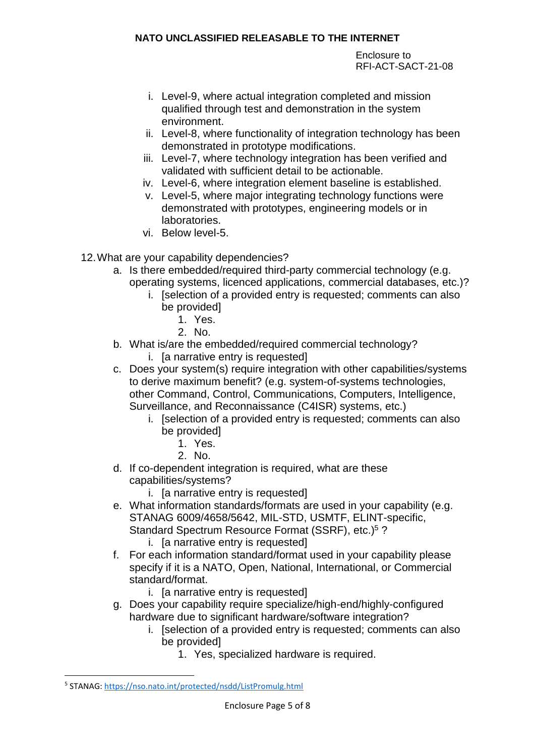Enclosure to RFI-ACT-SACT-21-08

- i. Level-9, where actual integration completed and mission qualified through test and demonstration in the system environment.
- ii. Level-8, where functionality of integration technology has been demonstrated in prototype modifications.
- iii. Level-7, where technology integration has been verified and validated with sufficient detail to be actionable.
- iv. Level-6, where integration element baseline is established.
- v. Level-5, where major integrating technology functions were demonstrated with prototypes, engineering models or in laboratories.
- vi. Below level-5.
- 12.What are your capability dependencies?
	- a. Is there embedded/required third-party commercial technology (e.g. operating systems, licenced applications, commercial databases, etc.)?
		- i. [selection of a provided entry is requested; comments can also be provided]
			- 1. Yes.
			- 2. No.
	- b. What is/are the embedded/required commercial technology? i. [a narrative entry is requested]
	- c. Does your system(s) require integration with other capabilities/systems to derive maximum benefit? (e.g. system-of-systems technologies, other Command, Control, Communications, Computers, Intelligence, Surveillance, and Reconnaissance (C4ISR) systems, etc.)
		- i. [selection of a provided entry is requested; comments can also be provided]
			- 1. Yes.
			- 2. No.
	- d. If co-dependent integration is required, what are these capabilities/systems?
		- i. [a narrative entry is requested]
	- e. What information standards/formats are used in your capability (e.g. STANAG 6009/4658/5642, MIL-STD, USMTF, ELINT-specific, Standard Spectrum Resource Format (SSRF), etc.) <sup>5</sup> ?
		- i. [a narrative entry is requested]
	- f. For each information standard/format used in your capability please specify if it is a NATO, Open, National, International, or Commercial standard/format.
		- i. [a narrative entry is requested]
	- g. Does your capability require specialize/high-end/highly-configured hardware due to significant hardware/software integration?
		- i. [selection of a provided entry is requested; comments can also be provided]
			- 1. Yes, specialized hardware is required.

**.** 

<sup>&</sup>lt;sup>5</sup> STANAG:<https://nso.nato.int/protected/nsdd/ListPromulg.html>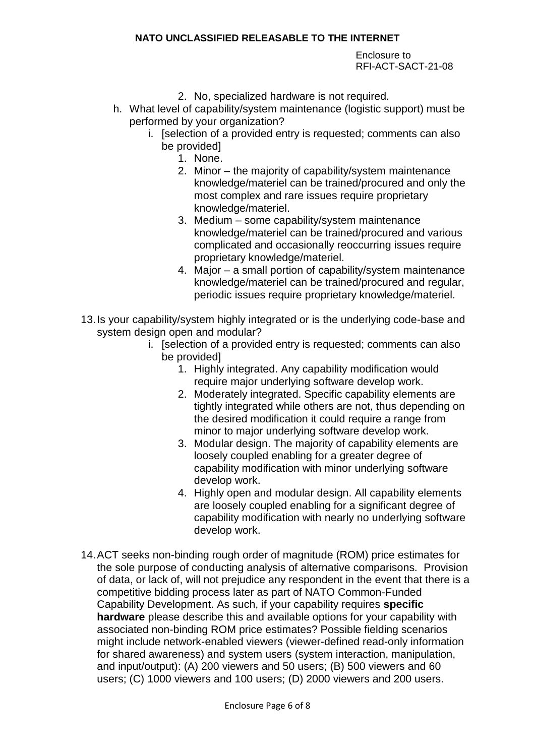Enclosure to RFI-ACT-SACT-21-08

- 2. No, specialized hardware is not required.
- h. What level of capability/system maintenance (logistic support) must be performed by your organization?
	- i. [selection of a provided entry is requested; comments can also be provided]
		- 1. None.
		- 2. Minor the majority of capability/system maintenance knowledge/materiel can be trained/procured and only the most complex and rare issues require proprietary knowledge/materiel.
		- 3. Medium some capability/system maintenance knowledge/materiel can be trained/procured and various complicated and occasionally reoccurring issues require proprietary knowledge/materiel.
		- 4. Major a small portion of capability/system maintenance knowledge/materiel can be trained/procured and regular, periodic issues require proprietary knowledge/materiel.
- 13.Is your capability/system highly integrated or is the underlying code-base and system design open and modular?
	- i. [selection of a provided entry is requested; comments can also be provided]
		- 1. Highly integrated. Any capability modification would require major underlying software develop work.
		- 2. Moderately integrated. Specific capability elements are tightly integrated while others are not, thus depending on the desired modification it could require a range from minor to major underlying software develop work.
		- 3. Modular design. The majority of capability elements are loosely coupled enabling for a greater degree of capability modification with minor underlying software develop work.
		- 4. Highly open and modular design. All capability elements are loosely coupled enabling for a significant degree of capability modification with nearly no underlying software develop work.
- 14.ACT seeks non-binding rough order of magnitude (ROM) price estimates for the sole purpose of conducting analysis of alternative comparisons. Provision of data, or lack of, will not prejudice any respondent in the event that there is a competitive bidding process later as part of NATO Common-Funded Capability Development. As such, if your capability requires **specific hardware** please describe this and available options for your capability with associated non-binding ROM price estimates? Possible fielding scenarios might include network-enabled viewers (viewer-defined read-only information for shared awareness) and system users (system interaction, manipulation, and input/output): (A) 200 viewers and 50 users; (B) 500 viewers and 60 users; (C) 1000 viewers and 100 users; (D) 2000 viewers and 200 users.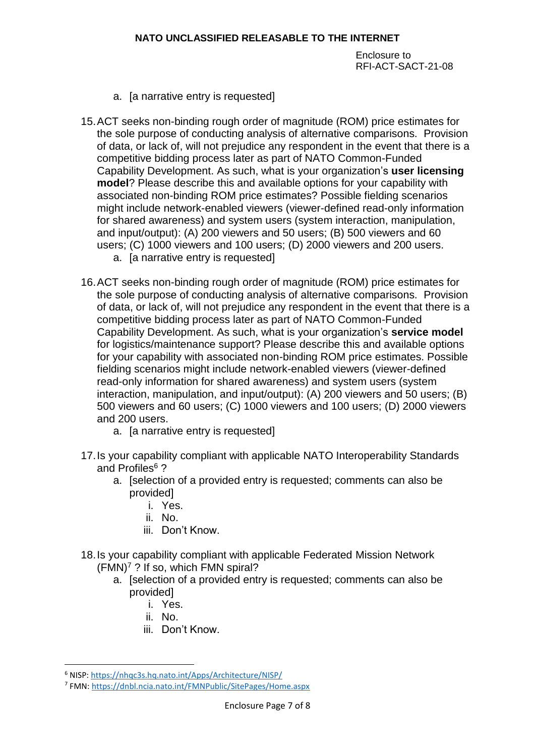Enclosure to RFI-ACT-SACT-21-08

- a. [a narrative entry is requested]
- 15.ACT seeks non-binding rough order of magnitude (ROM) price estimates for the sole purpose of conducting analysis of alternative comparisons. Provision of data, or lack of, will not prejudice any respondent in the event that there is a competitive bidding process later as part of NATO Common-Funded Capability Development. As such, what is your organization's **user licensing model**? Please describe this and available options for your capability with associated non-binding ROM price estimates? Possible fielding scenarios might include network-enabled viewers (viewer-defined read-only information for shared awareness) and system users (system interaction, manipulation, and input/output): (A) 200 viewers and 50 users; (B) 500 viewers and 60 users; (C) 1000 viewers and 100 users; (D) 2000 viewers and 200 users.
	- a. [a narrative entry is requested]
- 16.ACT seeks non-binding rough order of magnitude (ROM) price estimates for the sole purpose of conducting analysis of alternative comparisons. Provision of data, or lack of, will not prejudice any respondent in the event that there is a competitive bidding process later as part of NATO Common-Funded Capability Development. As such, what is your organization's **service model** for logistics/maintenance support? Please describe this and available options for your capability with associated non-binding ROM price estimates. Possible fielding scenarios might include network-enabled viewers (viewer-defined read-only information for shared awareness) and system users (system interaction, manipulation, and input/output): (A) 200 viewers and 50 users; (B) 500 viewers and 60 users; (C) 1000 viewers and 100 users; (D) 2000 viewers and 200 users.
	- a. [a narrative entry is requested]
- 17.Is your capability compliant with applicable NATO Interoperability Standards and Profiles<sup>6</sup>?
	- a. [selection of a provided entry is requested; comments can also be provided]
		- i. Yes.
		- ii. No.
		- iii. Don't Know.
- 18.Is your capability compliant with applicable Federated Mission Network  $(FMN)^7$ ? If so, which FMN spiral?
	- a. [selection of a provided entry is requested; comments can also be provided]
		- i. Yes.
		- ii. No.

1

iii. Don't Know.

<sup>6</sup> NISP:<https://nhqc3s.hq.nato.int/Apps/Architecture/NISP/>

<sup>7</sup> FMN:<https://dnbl.ncia.nato.int/FMNPublic/SitePages/Home.aspx>